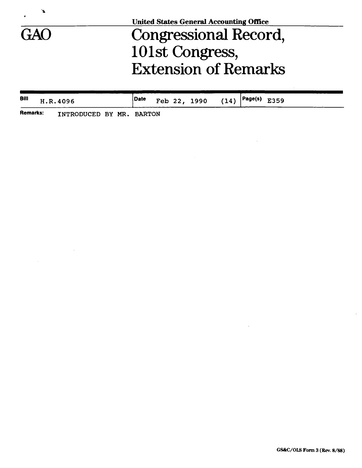

**United States General Accounting Office** 

## GAO Congressional Record, 101st Congress, Extension of Remarks

| Bill     |  | H.R.4096                 | Date |  | Feb 22, 1990 | $(14)$ $\vert$ Page(s) E359 |  |  |  |
|----------|--|--------------------------|------|--|--------------|-----------------------------|--|--|--|
| Remarks: |  | INTRODUCED BY MR. BARTON |      |  |              |                             |  |  |  |